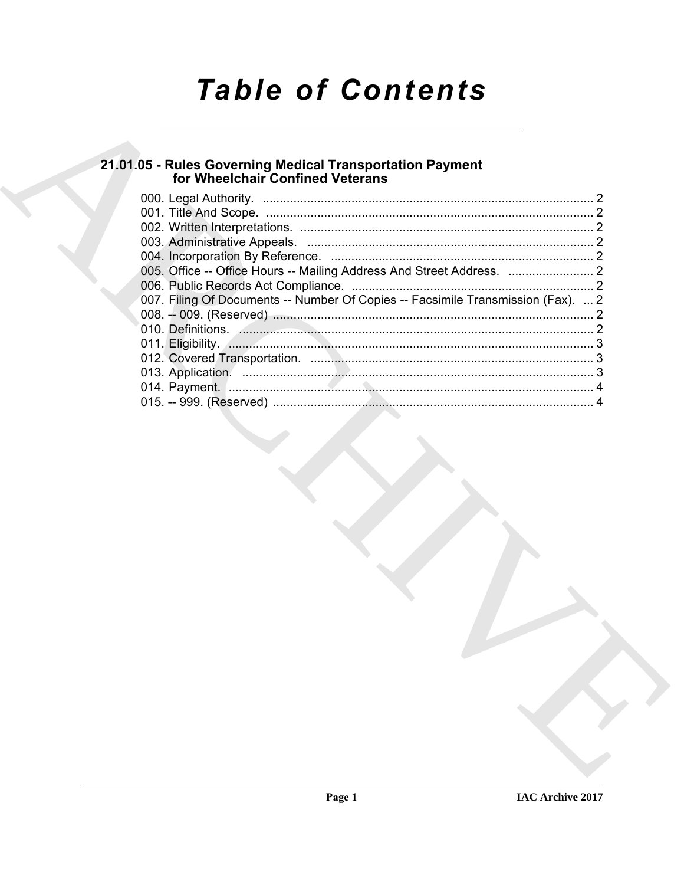# **Table of Contents**

## 21.01.05 - Rules Governing Medical Transportation Payment<br>for Wheelchair Confined Veterans

| 007. Filing Of Documents -- Number Of Copies -- Facsimile Transmission (Fax).  2                                                                                                                                              |  |
|-------------------------------------------------------------------------------------------------------------------------------------------------------------------------------------------------------------------------------|--|
|                                                                                                                                                                                                                               |  |
| 010. Definitions. 2008. 2009. 2010. 2010. 2010. 2010. 2010. 2010. 2010. 2010. 2010. 2010. 2010. 2010. 2010. 2010. 2010. 2010. 2010. 2010. 2010. 2010. 2010. 2010. 2010. 2010. 2010. 2010. 2010. 2010. 2010. 2010. 2010. 2010. |  |
|                                                                                                                                                                                                                               |  |
|                                                                                                                                                                                                                               |  |
| 013. Application. 3                                                                                                                                                                                                           |  |
|                                                                                                                                                                                                                               |  |
|                                                                                                                                                                                                                               |  |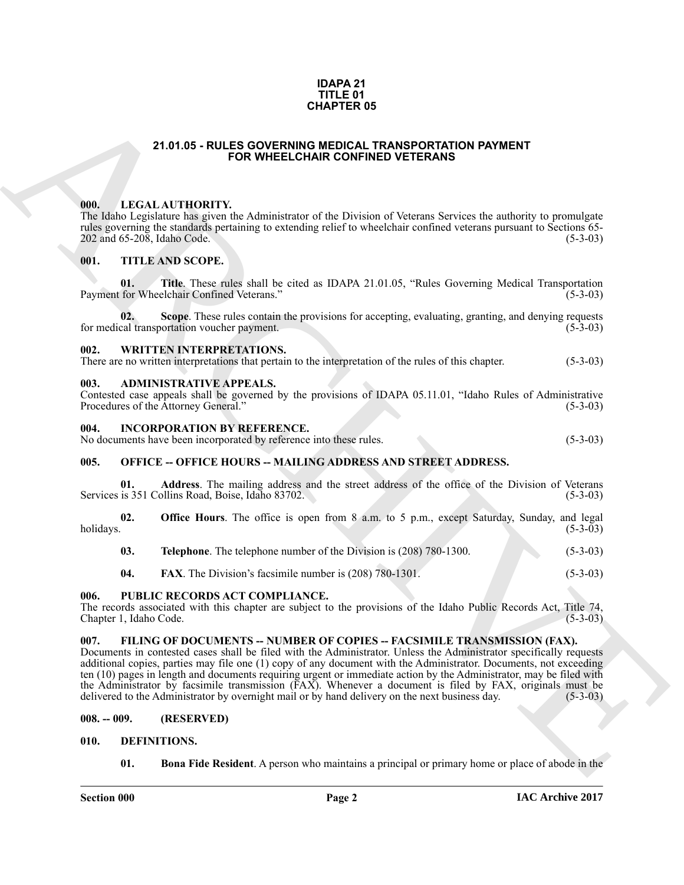#### **IDAPA 21 TITLE 01 CHAPTER 05**

#### **21.01.05 - RULES GOVERNING MEDICAL TRANSPORTATION PAYMENT FOR WHEELCHAIR CONFINED VETERANS**

#### <span id="page-1-1"></span><span id="page-1-0"></span>**000. LEGAL AUTHORITY.**

The Idaho Legislature has given the Administrator of the Division of Veterans Services the authority to promulgate rules governing the standards pertaining to extending relief to wheelchair confined veterans pursuant to Sections 65-<br>202 and 65-208. Idaho Code. (5-3-03) 202 and 65-208, Idaho Code.

#### <span id="page-1-2"></span>**001. TITLE AND SCOPE.**

**01.** Title. These rules shall be cited as IDAPA 21.01.05, "Rules Governing Medical Transportation for Wheelchair Confined Veterans." (5-3-03) Payment for Wheelchair Confined Veterans."

**02.** Scope. These rules contain the provisions for accepting, evaluating, granting, and denying requests cal transportation voucher payment. (5-3-03) for medical transportation voucher payment.

#### <span id="page-1-3"></span>**002. WRITTEN INTERPRETATIONS.**

There are no written interpretations that pertain to the interpretation of the rules of this chapter. (5-3-03)

#### <span id="page-1-4"></span>**003. ADMINISTRATIVE APPEALS.**

| Contested case appeals shall be governed by the provisions of IDAPA 05.11.01, "Idaho Rules of Administrative |            |
|--------------------------------------------------------------------------------------------------------------|------------|
| Procedures of the Attorney General."                                                                         | $(5-3-03)$ |

#### <span id="page-1-5"></span>**004. INCORPORATION BY REFERENCE.**

No documents have been incorporated by reference into these rules. (5-3-03)

#### <span id="page-1-6"></span>005. OFFICE -- OFFICE HOURS -- MAILING ADDRESS AND STREET ADDRESS.

**01. Address**. The mailing address and the street address of the office of the Division of Veterans is 351 Collins Road, Boise, Idaho 83702. (5-3-03) Services is 351 Collins Road, Boise, Idaho 83702.

|           | <b>Office Hours</b> . The office is open from 8 a.m. to 5 p.m., except Saturday, Sunday, and legal |  |  |  |  |            |
|-----------|----------------------------------------------------------------------------------------------------|--|--|--|--|------------|
| holidavs. |                                                                                                    |  |  |  |  | $(5-3-03)$ |

**03. Telephone**. The telephone number of the Division is (208) 780-1300. (5-3-03)

**04. FAX**. The Division's facsimile number is (208) 780-1301. (5-3-03)

#### <span id="page-1-7"></span>**006. PUBLIC RECORDS ACT COMPLIANCE.**

The records associated with this chapter are subject to the provisions of the Idaho Public Records Act, Title 74, Chapter 1, Idaho Code. (5-3-03) Chapter 1, Idaho Code.

#### <span id="page-1-8"></span>**007. FILING OF DOCUMENTS -- NUMBER OF COPIES -- FACSIMILE TRANSMISSION (FAX).**

**21.61.05 - RULES GOVERNIENT CARRIER COMPARENT CONFIDENTIATION PAYMENT<br>
ARCHIVEST FOR WHEELCHARCON HERO VERICAN SOVENED VERSION PAYMENT<br>
ARCHIVEST TO THE AARCHIVEST COMPARENT CONFIDENCIAL CONFIDENCIAL SURVEY IS USED TO TH** Documents in contested cases shall be filed with the Administrator. Unless the Administrator specifically requests additional copies, parties may file one (1) copy of any document with the Administrator. Documents, not exceeding ten (10) pages in length and documents requiring urgent or immediate action by the Administrator, may be filed with the Administrator by facsimile transmission ( $\overline{FAX}$ ). Whenever a document is filed by FAX, originals must be delivered to the Administrator by overnight mail or by hand delivery on the next business day. (5-3-03) delivered to the Administrator by overnight mail or by hand delivery on the next business day.

#### <span id="page-1-9"></span>**008. -- 009. (RESERVED)**

#### <span id="page-1-10"></span>**010. DEFINITIONS.**

<span id="page-1-12"></span><span id="page-1-11"></span>**01. Bona Fide Resident**. A person who maintains a principal or primary home or place of abode in the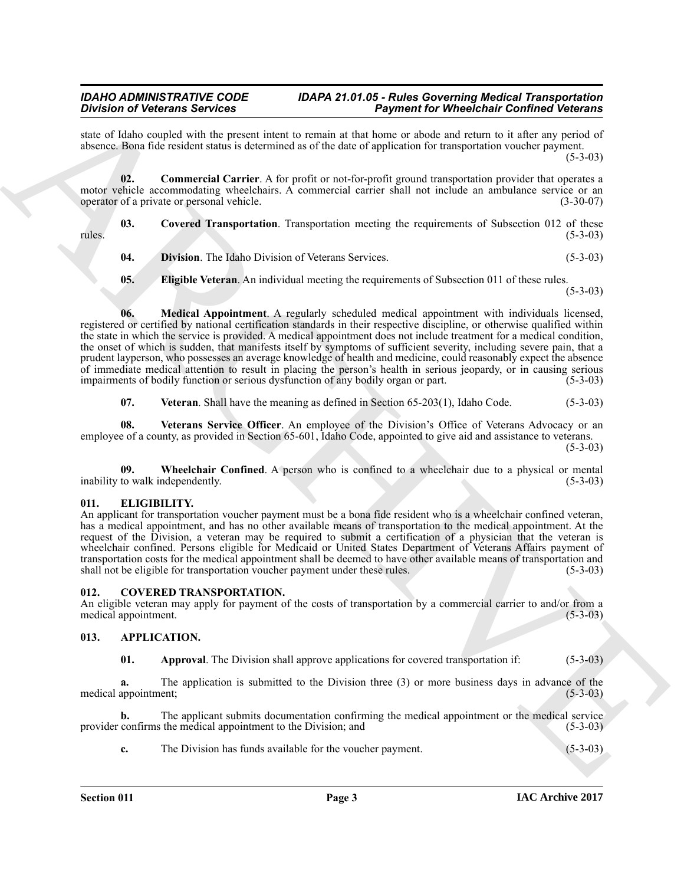#### *IDAHO ADMINISTRATIVE CODE IDAPA 21.01.05 - Rules Governing Medical Transportation Division of Veterans Services Payment for Wheelchair Confined Veterans*

state of Idaho coupled with the present intent to remain at that home or abode and return to it after any period of absence. Bona fide resident status is determined as of the date of application for transportation voucher payment.  $(5-3-03)$ 

<span id="page-2-6"></span>**02. Commercial Carrier**. A for profit or not-for-profit ground transportation provider that operates a motor vehicle accommodating wheelchairs. A commercial carrier shall not include an ambulance service or an operator of a private or personal vehicle.  $(3-30-07)$ operator of a private or personal vehicle.

**03. Covered Transportation**. Transportation meeting the requirements of Subsection 012 of these  $r_{\text{rules}}$  (5-3-03)

- <span id="page-2-8"></span><span id="page-2-7"></span>**04. Division**. The Idaho Division of Veterans Services. (5-3-03)
- <span id="page-2-10"></span><span id="page-2-9"></span>**05. Eligible Veteran**. An individual meeting the requirements of Subsection 011 of these rules.

 $(5-3-03)$ 

Division of Victimary Services in the spanner of Wickelson Control in the spanner of the spanner of Victoria Control in the spanner of Victoria Control in the spanner of the spanner of the spanner of the spanner of the sp **06. Medical Appointment**. A regularly scheduled medical appointment with individuals licensed, registered or certified by national certification standards in their respective discipline, or otherwise qualified within the state in which the service is provided. A medical appointment does not include treatment for a medical condition, the onset of which is sudden, that manifests itself by symptoms of sufficient severity, including severe pain, that a prudent layperson, who possesses an average knowledge of health and medicine, could reasonably expect the absence of immediate medical attention to result in placing the person's health in serious jeopardy, or in causing serious impairments of bodily function or serious dysfunction of any bodily organ or part. (5-3-03) impairments of bodily function or serious dysfunction of any bodily organ or part.

<span id="page-2-13"></span><span id="page-2-12"></span><span id="page-2-11"></span>**07.** Veteran. Shall have the meaning as defined in Section 65-203(1), Idaho Code. (5-3-03)

**08. Veterans Service Officer**. An employee of the Division's Office of Veterans Advocacy or an employee of a county, as provided in Section 65-601, Idaho Code, appointed to give aid and assistance to veterans.

(5-3-03)

**09.** Wheelchair Confined. A person who is confined to a wheelchair due to a physical or mental to walk independently. (5-3-03) inability to walk independently.

#### <span id="page-2-14"></span><span id="page-2-0"></span>**011. ELIGIBILITY.**

An applicant for transportation voucher payment must be a bona fide resident who is a wheelchair confined veteran, has a medical appointment, and has no other available means of transportation to the medical appointment. At the request of the Division, a veteran may be required to submit a certification of a physician that the veteran is wheelchair confined. Persons eligible for Medicaid or United States Department of Veterans Affairs payment of transportation costs for the medical appointment shall be deemed to have other available means of transportation and shall not be eligible for transportation voucher payment under these rules. (5-3-03) shall not be eligible for transportation voucher payment under these rules.

#### <span id="page-2-5"></span><span id="page-2-1"></span>**012. COVERED TRANSPORTATION.**

An eligible veteran may apply for payment of the costs of transportation by a commercial carrier to and/or from a medical appointment. (5-3-03) medical appointment.

#### <span id="page-2-2"></span>**013. APPLICATION.**

<span id="page-2-4"></span><span id="page-2-3"></span>**01.** Approval. The Division shall approve applications for covered transportation if: (5-3-03)

**a.** The application is submitted to the Division three (3) or more business days in advance of the appointment; (5-3-03) medical appointment;

**b.** The applicant submits documentation confirming the medical appointment or the medical service provider confirms the medical appointment to the Division; and (5-3-03)

**c.** The Division has funds available for the voucher payment. (5-3-03)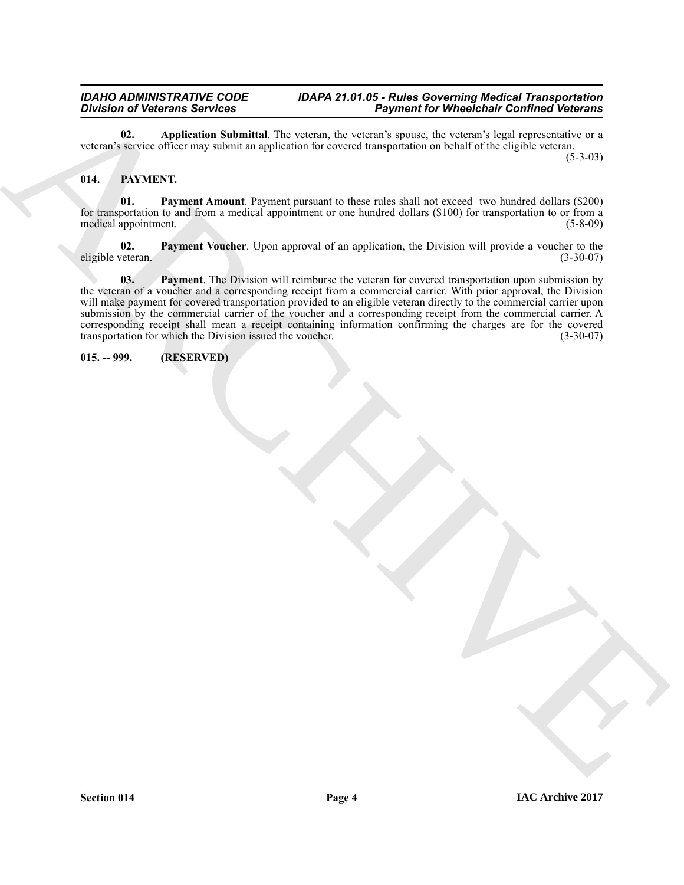<span id="page-3-2"></span>**02. Application Submittal**. The veteran, the veteran's spouse, the veteran's legal representative or a veteran's service officer may submit an application for covered transportation on behalf of the eligible veteran.

 $(5-3-03)$ 

### <span id="page-3-3"></span><span id="page-3-0"></span>**014. PAYMENT.**

<span id="page-3-5"></span>**01. Payment Amount**. Payment pursuant to these rules shall not exceed two hundred dollars (\$200) for transportation to and from a medical appointment or one hundred dollars (\$100) for transportation to or from a medical appointment.

<span id="page-3-6"></span><span id="page-3-4"></span>**02.** Payment Voucher. Upon approval of an application, the Division will provide a voucher to the (3-30-07) eligible veteran.

British of Victorian Streetch Statistics and the company stress in World-National Conductive Control of the company stress of the company stress of the company stress of the company of the company of the company of the co **03. Payment**. The Division will reimburse the veteran for covered transportation upon submission by the veteran of a voucher and a corresponding receipt from a commercial carrier. With prior approval, the Division will make payment for covered transportation provided to an eligible veteran directly to the commercial carrier upon submission by the commercial carrier of the voucher and a corresponding receipt from the commercial carrier. A corresponding receipt shall mean a receipt containing information confirming the charges are for the covered transportation for which the Division issued the voucher. (3-30-07)

<span id="page-3-1"></span>**015. -- 999. (RESERVED)**